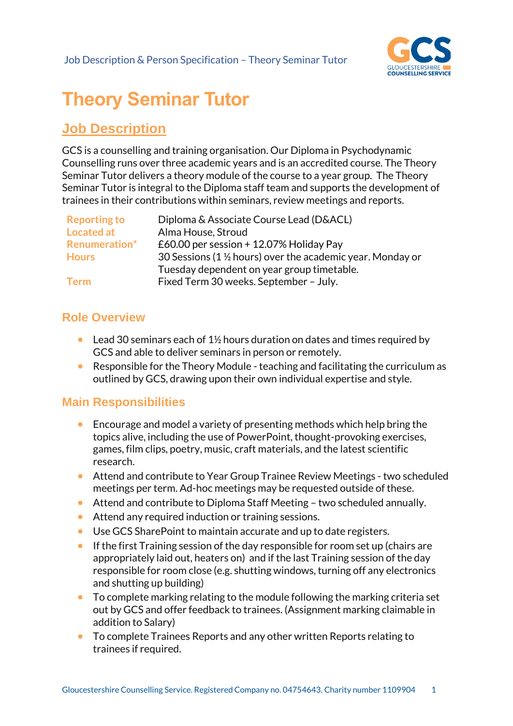

# **Theory Seminar Tutor**

## **Job Description**

GCS is a counselling and training organisation. Our Diploma in Psychodynamic Counselling runs over three academic years and is an accredited course. The Theory Seminar Tutor delivers a theory module of the course to a year group. The Theory Seminar Tutor is integral to the Diploma staff team and supports the development of trainees in their contributions within seminars, review meetings and reports.

| <b>Reporting to</b>  | Diploma & Associate Course Lead (D&ACL)                     |
|----------------------|-------------------------------------------------------------|
| Located at           | Alma House, Stroud                                          |
| <b>Renumeration*</b> | £60.00 per session + 12.07% Holiday Pay                     |
| <b>Hours</b>         | 30 Sessions (1 1/2 hours) over the academic year. Monday or |
|                      | Tuesday dependent on year group timetable.                  |
| <b>Term</b>          | Fixed Term 30 weeks. September - July.                      |

### **Role Overview**

- Lead 30 seminars each of  $1\frac{1}{2}$  hours duration on dates and times required by GCS and able to deliver seminars in person or remotely.
- Responsible for the Theory Module teaching and facilitating the curriculum as outlined by GCS, drawing upon their own individual expertise and style.

#### **Main Responsibilities**

- Encourage and model a variety of presenting methods which help bring the topics alive, including the use of PowerPoint, thought-provoking exercises, games, film clips, poetry, music, craft materials, and the latest scientific research.
- Attend and contribute to Year Group Trainee Review Meetings two scheduled meetings per term. Ad-hoc meetings may be requested outside of these.
- Attend and contribute to Diploma Staff Meeting two scheduled annually.
- Attend any required induction or training sessions.
- Use GCS SharePoint to maintain accurate and up to date registers.
- If the first Training session of the day responsible for room set up (chairs are appropriately laid out, heaters on) and if the last Training session of the day responsible for room close (e.g. shutting windows, turning off any electronics and shutting up building)
- To complete marking relating to the module following the marking criteria set out by GCS and offer feedback to trainees. (Assignment marking claimable in addition to Salary)
- To complete Trainees Reports and any other written Reports relating to trainees if required.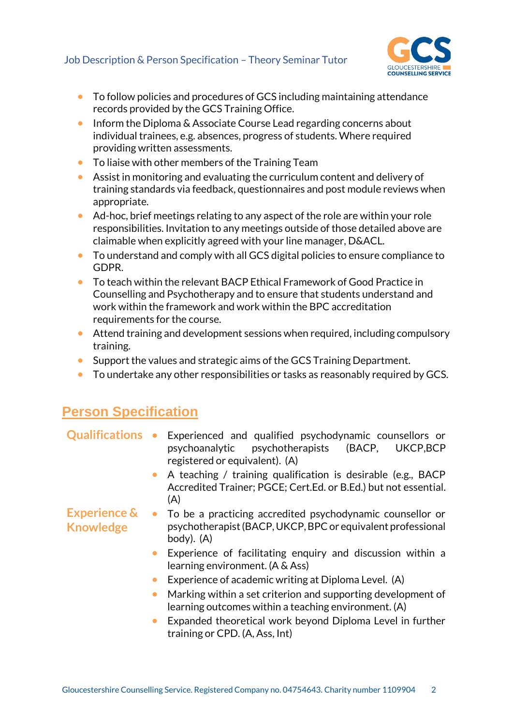

- To follow policies and procedures of GCS including maintaining attendance records provided by the GCS Training Office.
- Inform the Diploma & Associate Course Lead regarding concerns about individual trainees, e.g. absences, progress of students. Where required providing written assessments.
- To liaise with other members of the Training Team
- Assist in monitoring and evaluating the curriculum content and delivery of training standards via feedback, questionnaires and post module reviews when appropriate.
- Ad-hoc, brief meetings relating to any aspect of the role are within your role responsibilities. Invitation to any meetings outside of those detailed above are claimable when explicitly agreed with your line manager, D&ACL.
- To understand and comply with all GCS digital policies to ensure compliance to GDPR.
- To teach within the relevant BACP Ethical Framework of Good Practice in Counselling and Psychotherapy and to ensure that students understand and work within the framework and work within the BPC accreditation requirements for the course.
- Attend training and development sessions when required, including compulsory training.
- Support the values and strategic aims of the GCS Training Department.
- To undertake any other responsibilities or tasks as reasonably required by GCS.

## **Person Specification**

- **Qualifications** Experienced and qualified psychodynamic counsellors or psychoanalytic psychotherapists (BACP, UKCP,BCP registered or equivalent). (A)
	- A teaching / training qualification is desirable (e.g., BACP Accredited Trainer; PGCE; Cert.Ed. or B.Ed.) but not essential.  $(A)$
- **Experience & Knowledge** • To be a practicing accredited psychodynamic counsellor or psychotherapist (BACP, UKCP, BPC or equivalent professional body). (A)
	- Experience of facilitating enquiry and discussion within a learning environment. (A & Ass)
	- Experience of academic writing at Diploma Level. (A)
	- Marking within a set criterion and supporting development of learning outcomes within a teaching environment. (A)
	- Expanded theoretical work beyond Diploma Level in further training or CPD. (A, Ass, Int)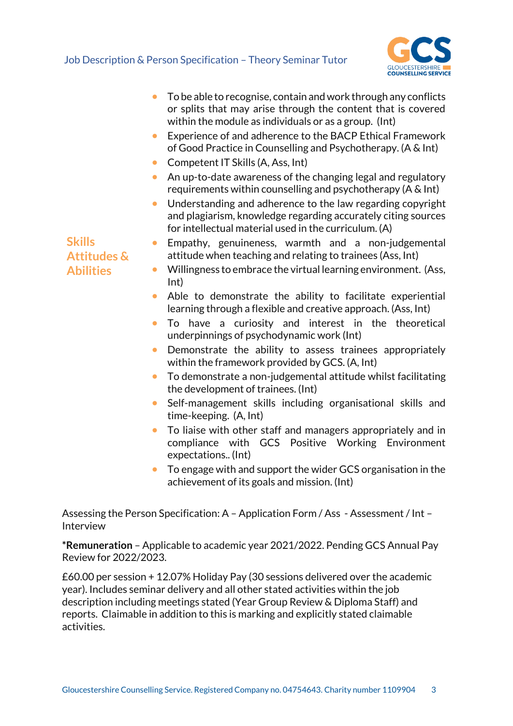

|                                         | To be able to recognise, contain and work through any conflicts<br>or splits that may arise through the content that is covered<br>within the module as individuals or as a group. (Int)          |
|-----------------------------------------|---------------------------------------------------------------------------------------------------------------------------------------------------------------------------------------------------|
|                                         | Experience of and adherence to the BACP Ethical Framework<br>$\bullet$<br>of Good Practice in Counselling and Psychotherapy. (A & Int)                                                            |
|                                         | Competent IT Skills (A, Ass, Int)<br>$\bullet$                                                                                                                                                    |
|                                         | An up-to-date awareness of the changing legal and regulatory<br>$\bullet$<br>requirements within counselling and psychotherapy ( $A \& Int$ )                                                     |
|                                         | Understanding and adherence to the law regarding copyright<br>$\bullet$<br>and plagiarism, knowledge regarding accurately citing sources<br>for intellectual material used in the curriculum. (A) |
| <b>Skills</b><br><b>Attitudes &amp;</b> | Empathy, genuineness, warmth and a non-judgemental<br>$\bullet$<br>attitude when teaching and relating to trainees (Ass, Int)                                                                     |
| <b>Abilities</b>                        | Willingness to embrace the virtual learning environment. (Ass,<br>$\bullet$<br>Int)                                                                                                               |
|                                         | Able to demonstrate the ability to facilitate experiential<br>learning through a flexible and creative approach. (Ass, Int)                                                                       |
|                                         | To have a curiosity and interest in the theoretical<br>underpinnings of psychodynamic work (Int)                                                                                                  |
|                                         | Demonstrate the ability to assess trainees appropriately<br>$\bullet$<br>within the framework provided by GCS. (A, Int)                                                                           |
|                                         | To demonstrate a non-judgemental attitude whilst facilitating<br>$\bullet$<br>the development of trainees. (Int)                                                                                  |
|                                         | Self-management skills including organisational skills and<br>$\bullet$<br>time-keeping. (A, Int)                                                                                                 |
|                                         | To liaise with other staff and managers appropriately and in<br>$\bullet$<br>compliance with GCS Positive Working Environment<br>expectations (Int)                                               |
|                                         | To engage with and support the wider GCS organisation in the<br>$\bullet$                                                                                                                         |

achievement of its goals and mission. (Int)

Assessing the Person Specification: A – Application Form / Ass - Assessment / Int – Interview

**\*Remuneration** – Applicable to academic year 2021/2022. Pending GCS Annual Pay Review for 2022/2023.

£60.00 per session + 12.07% Holiday Pay (30 sessions delivered over the academic year). Includes seminar delivery and all other stated activities within the job description including meetings stated (Year Group Review & Diploma Staff) and reports. Claimable in addition to this is marking and explicitly stated claimable activities.